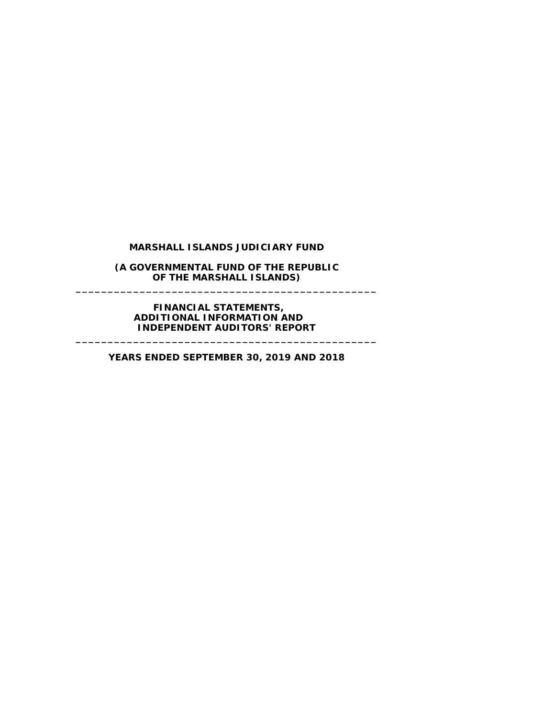**(A GOVERNMENTAL FUND OF THE REPUBLIC OF THE MARSHALL ISLANDS) \_\_\_\_\_\_\_\_\_\_\_\_\_\_\_\_\_\_\_\_\_\_\_\_\_\_\_\_\_\_\_\_\_\_\_\_\_\_\_\_\_\_\_\_\_\_\_**

> **FINANCIAL STATEMENTS, ADDITIONAL INFORMATION AND INDEPENDENT AUDITORS' REPORT**

**YEARS ENDED SEPTEMBER 30, 2019 AND 2018**

**\_\_\_\_\_\_\_\_\_\_\_\_\_\_\_\_\_\_\_\_\_\_\_\_\_\_\_\_\_\_\_\_\_\_\_\_\_\_\_\_\_\_\_\_\_\_\_**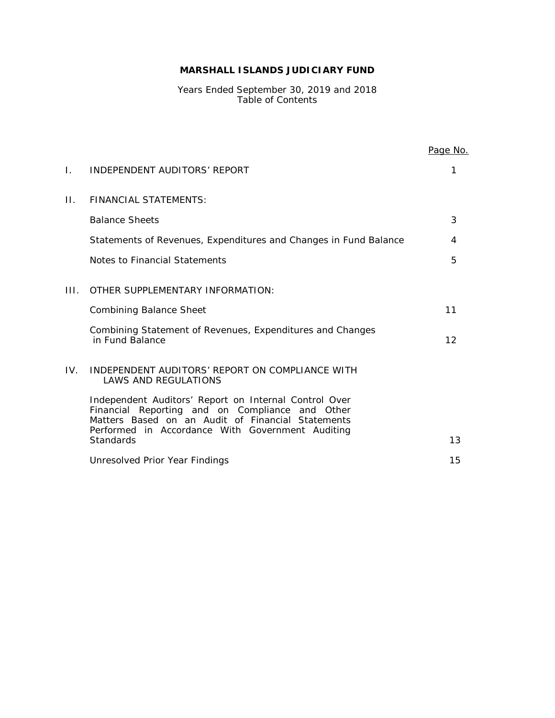Years Ended September 30, 2019 and 2018 Table of Contents

|      |                                                                                                                                                               | Page No. |
|------|---------------------------------------------------------------------------------------------------------------------------------------------------------------|----------|
| Ι.   | INDEPENDENT AUDITORS' REPORT                                                                                                                                  | 1        |
| Н.   | FINANCIAL STATEMENTS:                                                                                                                                         |          |
|      | <b>Balance Sheets</b>                                                                                                                                         | 3        |
|      | Statements of Revenues, Expenditures and Changes in Fund Balance                                                                                              | 4        |
|      | Notes to Financial Statements                                                                                                                                 | 5        |
| III. | OTHER SUPPLEMENTARY INFORMATION:                                                                                                                              |          |
|      | <b>Combining Balance Sheet</b>                                                                                                                                | 11       |
|      | Combining Statement of Revenues, Expenditures and Changes<br>in Fund Balance                                                                                  | 12       |
| IV.  | INDEPENDENT AUDITORS' REPORT ON COMPLIANCE WITH<br><b>LAWS AND REGULATIONS</b>                                                                                |          |
|      | Independent Auditors' Report on Internal Control Over<br>Financial Reporting and on Compliance and Other<br>Matters Based on an Audit of Financial Statements |          |
|      | Performed in Accordance With Government Auditing<br><b>Standards</b>                                                                                          | 13       |
|      | Unresolved Prior Year Findings                                                                                                                                | 15       |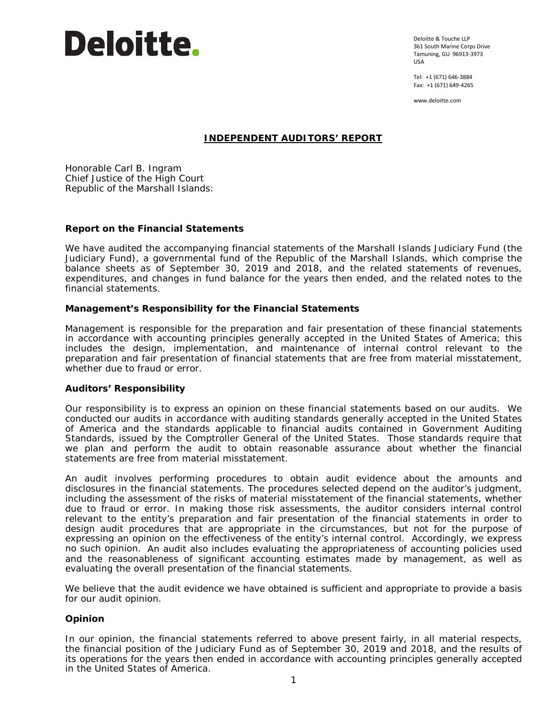

Deloitte & Touche LLP 361 South Marine Corps Drive Tamuning, GU 96913-3973 USA

Tel: +1 (671) 646-3884 Fax: +1 (671) 649-4265

www.deloitte.com

#### **INDEPENDENT AUDITORS' REPORT**

Honorable Carl B. Ingram Chief Justice of the High Court Republic of the Marshall Islands:

#### **Report on the Financial Statements**

We have audited the accompanying financial statements of the Marshall Islands Judiciary Fund (the Judiciary Fund), a governmental fund of the Republic of the Marshall Islands, which comprise the balance sheets as of September 30, 2019 and 2018, and the related statements of revenues, expenditures, and changes in fund balance for the years then ended, and the related notes to the financial statements.

#### *Management's Responsibility for the Financial Statements*

Management is responsible for the preparation and fair presentation of these financial statements in accordance with accounting principles generally accepted in the United States of America; this includes the design, implementation, and maintenance of internal control relevant to the preparation and fair presentation of financial statements that are free from material misstatement, whether due to fraud or error.

#### *Auditors' Responsibility*

Our responsibility is to express an opinion on these financial statements based on our audits. We conducted our audits in accordance with auditing standards generally accepted in the United States of America and the standards applicable to financial audits contained in *Government Auditing Standards,* issued by the Comptroller General of the United States. Those standards require that we plan and perform the audit to obtain reasonable assurance about whether the financial statements are free from material misstatement.

An audit involves performing procedures to obtain audit evidence about the amounts and disclosures in the financial statements. The procedures selected depend on the auditor's judgment, including the assessment of the risks of material misstatement of the financial statements, whether due to fraud or error. In making those risk assessments, the auditor considers internal control relevant to the entity's preparation and fair presentation of the financial statements in order to design audit procedures that are appropriate in the circumstances, but not for the purpose of expressing an opinion on the effectiveness of the entity's internal control. Accordingly, we express no such opinion. An audit also includes evaluating the appropriateness of accounting policies used and the reasonableness of significant accounting estimates made by management, as well as evaluating the overall presentation of the financial statements.

We believe that the audit evidence we have obtained is sufficient and appropriate to provide a basis for our audit opinion.

#### *Opinion*

In our opinion, the financial statements referred to above present fairly, in all material respects, the financial position of the Judiciary Fund as of September 30, 2019 and 2018, and the results of its operations for the years then ended in accordance with accounting principles generally accepted in the United States of America.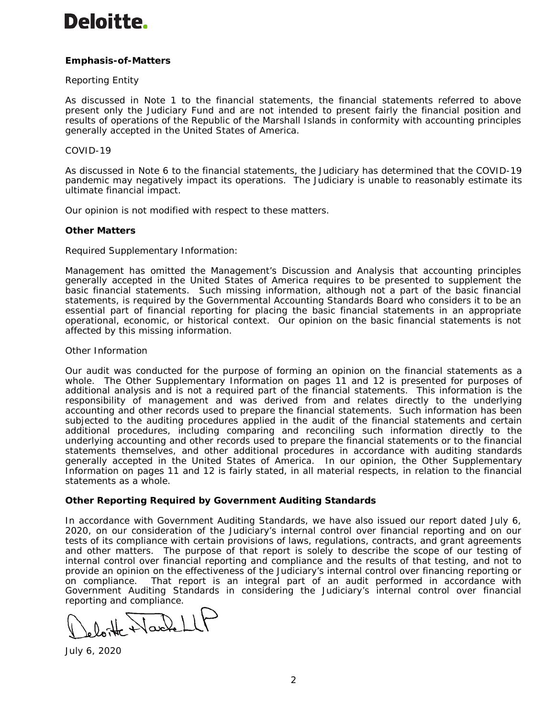# Deloitte.

### *Emphasis-of-Matters*

#### *Reporting Entity*

As discussed in Note 1 to the financial statements, the financial statements referred to above present only the Judiciary Fund and are not intended to present fairly the financial position and results of operations of the Republic of the Marshall Islands in conformity with accounting principles generally accepted in the United States of America.

#### *COVID-19*

As discussed in Note 6 to the financial statements, the Judiciary has determined that the COVID-19 pandemic may negatively impact its operations. The Judiciary is unable to reasonably estimate its ultimate financial impact.

Our opinion is not modified with respect to these matters.

#### *Other Matters*

#### *Required Supplementary Information:*

Management has omitted the Management's Discussion and Analysis that accounting principles generally accepted in the United States of America requires to be presented to supplement the basic financial statements. Such missing information, although not a part of the basic financial statements, is required by the Governmental Accounting Standards Board who considers it to be an essential part of financial reporting for placing the basic financial statements in an appropriate operational, economic, or historical context. Our opinion on the basic financial statements is not affected by this missing information.

#### *Other Information*

Our audit was conducted for the purpose of forming an opinion on the financial statements as a whole. The Other Supplementary Information on pages 11 and 12 is presented for purposes of additional analysis and is not a required part of the financial statements. This information is the responsibility of management and was derived from and relates directly to the underlying accounting and other records used to prepare the financial statements. Such information has been subjected to the auditing procedures applied in the audit of the financial statements and certain additional procedures, including comparing and reconciling such information directly to the underlying accounting and other records used to prepare the financial statements or to the financial statements themselves, and other additional procedures in accordance with auditing standards generally accepted in the United States of America. In our opinion, the Other Supplementary Information on pages 11 and 12 is fairly stated, in all material respects, in relation to the financial statements as a whole.

#### **Other Reporting Required by** *Government Auditing Standards*

In accordance with *Government Auditing Standards*, we have also issued our report dated July 6, 2020, on our consideration of the Judiciary's internal control over financial reporting and on our tests of its compliance with certain provisions of laws, regulations, contracts, and grant agreements and other matters. The purpose of that report is solely to describe the scope of our testing of internal control over financial reporting and compliance and the results of that testing, and not to provide an opinion on the effectiveness of the Judiciary's internal control over financing reporting or on compliance. That report is an integral part of an audit performed in accordance with *Government Auditing Standards* in considering the Judiciary's internal control over financial reporting and compliance.

Varket

July 6, 2020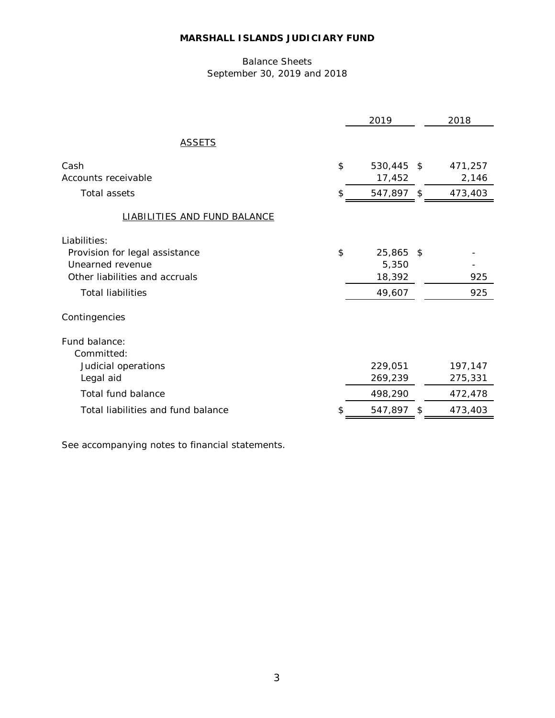# Balance Sheets September 30, 2019 and 2018

|                                     | 2019          |      | 2018    |
|-------------------------------------|---------------|------|---------|
| <b>ASSETS</b>                       |               |      |         |
| Cash                                | \$<br>530,445 | - \$ | 471,257 |
| Accounts receivable                 | 17,452        |      | 2,146   |
| Total assets                        | \$<br>547,897 | \$   | 473,403 |
| <b>LIABILITIES AND FUND BALANCE</b> |               |      |         |
| Liabilities:                        |               |      |         |
| Provision for legal assistance      | \$<br>25,865  | - \$ |         |
| Unearned revenue                    | 5,350         |      |         |
| Other liabilities and accruals      | 18,392        |      | 925     |
| <b>Total liabilities</b>            | 49,607        |      | 925     |
| Contingencies                       |               |      |         |
| Fund balance:                       |               |      |         |
| Committed:                          |               |      |         |
| Judicial operations                 | 229,051       |      | 197,147 |
| Legal aid                           | 269,239       |      | 275,331 |
| Total fund balance                  | 498,290       |      | 472,478 |
| Total liabilities and fund balance  | 547,897       | \$   | 473,403 |
|                                     |               |      |         |

See accompanying notes to financial statements.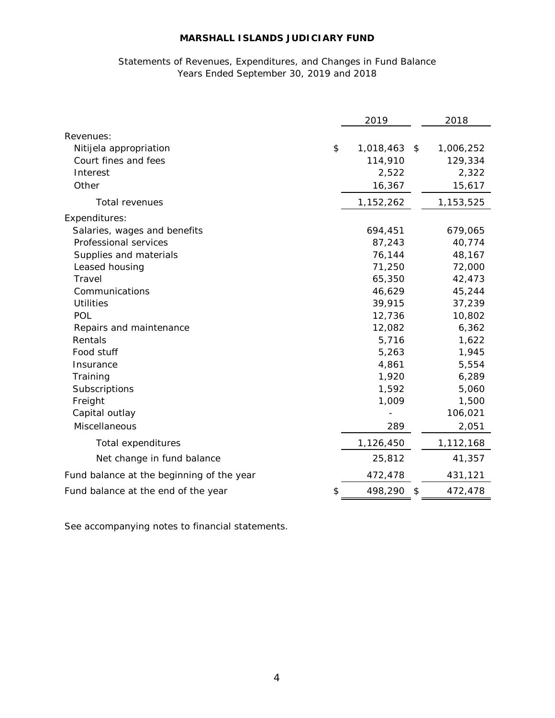# Statements of Revenues, Expenditures, and Changes in Fund Balance Years Ended September 30, 2019 and 2018

|                                           | 2019            |            | 2018      |
|-------------------------------------------|-----------------|------------|-----------|
| Revenues:                                 |                 |            |           |
| Nitijela appropriation                    | \$<br>1,018,463 | $\sqrt{3}$ | 1,006,252 |
| Court fines and fees                      | 114,910         |            | 129,334   |
| Interest                                  | 2,522           |            | 2,322     |
| Other                                     | 16,367          |            | 15,617    |
| <b>Total revenues</b>                     | 1,152,262       |            | 1,153,525 |
| Expenditures:                             |                 |            |           |
| Salaries, wages and benefits              | 694,451         |            | 679,065   |
| Professional services                     | 87,243          |            | 40,774    |
| Supplies and materials                    | 76,144          |            | 48,167    |
| Leased housing                            | 71,250          |            | 72,000    |
| Travel                                    | 65,350          |            | 42,473    |
| Communications                            | 46,629          |            | 45,244    |
| <b>Utilities</b>                          | 39,915          |            | 37,239    |
| POL                                       | 12,736          |            | 10,802    |
| Repairs and maintenance                   | 12,082          |            | 6,362     |
| Rentals                                   | 5,716           |            | 1,622     |
| Food stuff                                | 5,263           |            | 1,945     |
| Insurance                                 | 4,861           |            | 5,554     |
| Training                                  | 1,920           |            | 6,289     |
| Subscriptions                             | 1,592           |            | 5,060     |
| Freight                                   | 1,009           |            | 1,500     |
| Capital outlay                            |                 |            | 106,021   |
| Miscellaneous                             | 289             |            | 2,051     |
| Total expenditures                        | 1,126,450       |            | 1,112,168 |
| Net change in fund balance                | 25,812          |            | 41,357    |
| Fund balance at the beginning of the year | 472,478         |            | 431,121   |
| Fund balance at the end of the year       | \$<br>498,290   | \$         | 472,478   |

See accompanying notes to financial statements.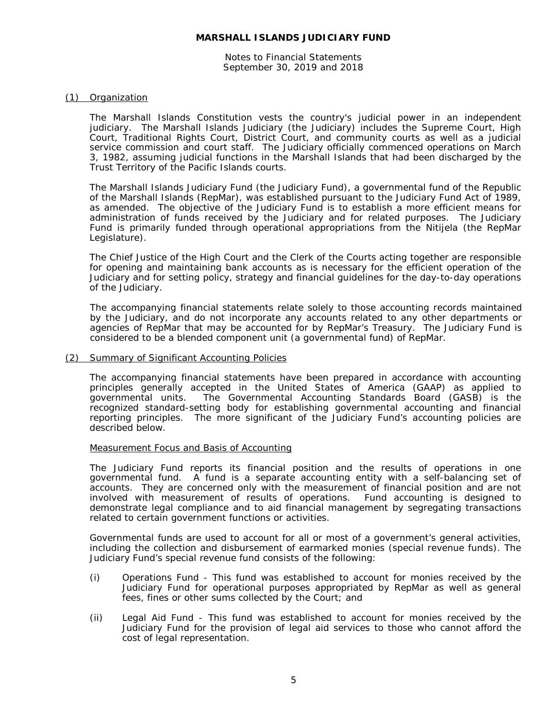Notes to Financial Statements September 30, 2019 and 2018

#### (1) Organization

The Marshall Islands Constitution vests the country's judicial power in an independent judiciary. The Marshall Islands Judiciary (the Judiciary) includes the Supreme Court, High Court, Traditional Rights Court, District Court, and community courts as well as a judicial service commission and court staff. The Judiciary officially commenced operations on March 3, 1982, assuming judicial functions in the Marshall Islands that had been discharged by the Trust Territory of the Pacific Islands courts.

The Marshall Islands Judiciary Fund (the Judiciary Fund), a governmental fund of the Republic of the Marshall Islands (RepMar), was established pursuant to the Judiciary Fund Act of 1989, as amended. The objective of the Judiciary Fund is to establish a more efficient means for administration of funds received by the Judiciary and for related purposes. The Judiciary Fund is primarily funded through operational appropriations from the Nitijela (the RepMar Legislature).

The Chief Justice of the High Court and the Clerk of the Courts acting together are responsible for opening and maintaining bank accounts as is necessary for the efficient operation of the Judiciary and for setting policy, strategy and financial guidelines for the day-to-day operations of the Judiciary.

The accompanying financial statements relate solely to those accounting records maintained by the Judiciary, and do not incorporate any accounts related to any other departments or agencies of RepMar that may be accounted for by RepMar's Treasury. The Judiciary Fund is considered to be a blended component unit (a governmental fund) of RepMar.

#### (2) Summary of Significant Accounting Policies

The accompanying financial statements have been prepared in accordance with accounting principles generally accepted in the United States of America (GAAP) as applied to governmental units. The Governmental Accounting Standards Board (GASB) is the The Governmental Accounting Standards Board (GASB) is the recognized standard-setting body for establishing governmental accounting and financial reporting principles. The more significant of the Judiciary Fund's accounting policies are described below.

#### Measurement Focus and Basis of Accounting

The Judiciary Fund reports its financial position and the results of operations in one governmental fund. A fund is a separate accounting entity with a self-balancing set of accounts. They are concerned only with the measurement of financial position and are not involved with measurement of results of operations. Fund accounting is designed to demonstrate legal compliance and to aid financial management by segregating transactions related to certain government functions or activities.

Governmental funds are used to account for all or most of a government's general activities, including the collection and disbursement of earmarked monies (special revenue funds). The Judiciary Fund's special revenue fund consists of the following:

- (i) Operations Fund This fund was established to account for monies received by the Judiciary Fund for operational purposes appropriated by RepMar as well as general fees, fines or other sums collected by the Court; and
- (ii) Legal Aid Fund This fund was established to account for monies received by the Judiciary Fund for the provision of legal aid services to those who cannot afford the cost of legal representation.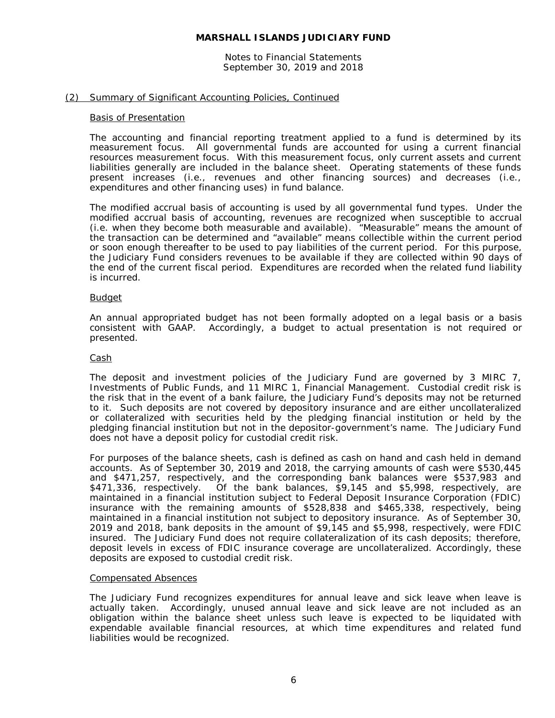Notes to Financial Statements September 30, 2019 and 2018

#### (2) Summary of Significant Accounting Policies, Continued

#### Basis of Presentation

The accounting and financial reporting treatment applied to a fund is determined by its measurement focus. All governmental funds are accounted for using a current financial resources measurement focus. With this measurement focus, only current assets and current liabilities generally are included in the balance sheet. Operating statements of these funds present increases (i.e., revenues and other financing sources) and decreases (i.e., expenditures and other financing uses) in fund balance.

The modified accrual basis of accounting is used by all governmental fund types. Under the modified accrual basis of accounting, revenues are recognized when susceptible to accrual (i.e. when they become both measurable and available). "Measurable" means the amount of the transaction can be determined and "available" means collectible within the current period or soon enough thereafter to be used to pay liabilities of the current period. For this purpose, the Judiciary Fund considers revenues to be available if they are collected within 90 days of the end of the current fiscal period. Expenditures are recorded when the related fund liability is incurred.

#### **Budget**

An annual appropriated budget has not been formally adopted on a legal basis or a basis consistent with GAAP. Accordingly, a budget to actual presentation is not required or presented.

#### Cash

The deposit and investment policies of the Judiciary Fund are governed by 3 MIRC 7, *Investments of Public Funds*, and 11 MIRC 1, *Financial Management*. Custodial credit risk is the risk that in the event of a bank failure, the Judiciary Fund's deposits may not be returned to it. Such deposits are not covered by depository insurance and are either uncollateralized or collateralized with securities held by the pledging financial institution or held by the pledging financial institution but not in the depositor-government's name. The Judiciary Fund does not have a deposit policy for custodial credit risk.

For purposes of the balance sheets, cash is defined as cash on hand and cash held in demand accounts. As of September 30, 2019 and 2018, the carrying amounts of cash were \$530,445 and \$471,257, respectively, and the corresponding bank balances were \$537,983 and \$471,336, respectively. Of the bank balances, \$9,145 and \$5,998, respectively, are maintained in a financial institution subject to Federal Deposit Insurance Corporation (FDIC) insurance with the remaining amounts of \$528,838 and \$465,338, respectively, being maintained in a financial institution not subject to depository insurance. As of September 30, 2019 and 2018, bank deposits in the amount of \$9,145 and \$5,998, respectively, were FDIC insured. The Judiciary Fund does not require collateralization of its cash deposits; therefore, deposit levels in excess of FDIC insurance coverage are uncollateralized. Accordingly, these deposits are exposed to custodial credit risk.

#### Compensated Absences

The Judiciary Fund recognizes expenditures for annual leave and sick leave when leave is actually taken. Accordingly, unused annual leave and sick leave are not included as an obligation within the balance sheet unless such leave is expected to be liquidated with expendable available financial resources, at which time expenditures and related fund liabilities would be recognized.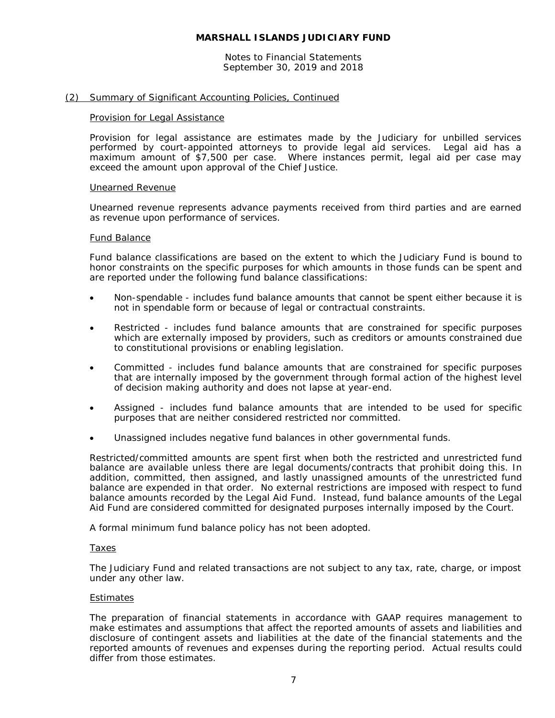Notes to Financial Statements September 30, 2019 and 2018

#### (2) Summary of Significant Accounting Policies, Continued

#### Provision for Legal Assistance

Provision for legal assistance are estimates made by the Judiciary for unbilled services performed by court-appointed attorneys to provide legal aid services. Legal aid has a maximum amount of \$7,500 per case. Where instances permit, legal aid per case may exceed the amount upon approval of the Chief Justice.

#### Unearned Revenue

Unearned revenue represents advance payments received from third parties and are earned as revenue upon performance of services.

#### Fund Balance

Fund balance classifications are based on the extent to which the Judiciary Fund is bound to honor constraints on the specific purposes for which amounts in those funds can be spent and are reported under the following fund balance classifications:

- Non-spendable includes fund balance amounts that cannot be spent either because it is not in spendable form or because of legal or contractual constraints.
- Restricted includes fund balance amounts that are constrained for specific purposes which are externally imposed by providers, such as creditors or amounts constrained due to constitutional provisions or enabling legislation.
- Committed includes fund balance amounts that are constrained for specific purposes that are internally imposed by the government through formal action of the highest level of decision making authority and does not lapse at year-end.
- Assigned includes fund balance amounts that are intended to be used for specific purposes that are neither considered restricted nor committed.
- Unassigned includes negative fund balances in other governmental funds.

Restricted/committed amounts are spent first when both the restricted and unrestricted fund balance are available unless there are legal documents/contracts that prohibit doing this. In addition, committed, then assigned, and lastly unassigned amounts of the unrestricted fund balance are expended in that order. No external restrictions are imposed with respect to fund balance amounts recorded by the Legal Aid Fund. Instead, fund balance amounts of the Legal Aid Fund are considered committed for designated purposes internally imposed by the Court.

A formal minimum fund balance policy has not been adopted.

#### **Taxes**

The Judiciary Fund and related transactions are not subject to any tax, rate, charge, or impost under any other law.

#### Estimates

The preparation of financial statements in accordance with GAAP requires management to make estimates and assumptions that affect the reported amounts of assets and liabilities and disclosure of contingent assets and liabilities at the date of the financial statements and the reported amounts of revenues and expenses during the reporting period. Actual results could differ from those estimates.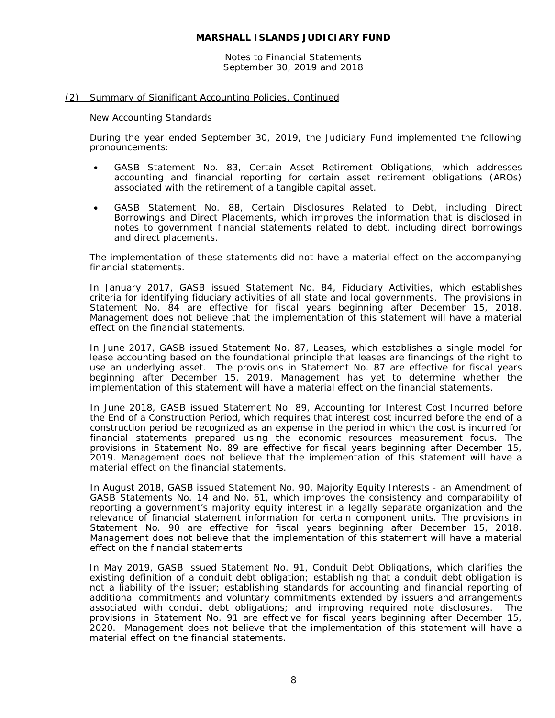Notes to Financial Statements September 30, 2019 and 2018

#### (2) Summary of Significant Accounting Policies, Continued

#### New Accounting Standards

During the year ended September 30, 2019, the Judiciary Fund implemented the following pronouncements:

- GASB Statement No. 83, *Certain Asset Retirement Obligations*, which addresses accounting and financial reporting for certain asset retirement obligations (AROs) associated with the retirement of a tangible capital asset.
- GASB Statement No. 88, *Certain Disclosures Related to Debt, including Direct Borrowings and Direct Placements*, which improves the information that is disclosed in notes to government financial statements related to debt, including direct borrowings and direct placements.

The implementation of these statements did not have a material effect on the accompanying financial statements.

In January 2017, GASB issued Statement No. 84, *Fiduciary Activities*, which establishes criteria for identifying fiduciary activities of all state and local governments. The provisions in Statement No. 84 are effective for fiscal years beginning after December 15, 2018. Management does not believe that the implementation of this statement will have a material effect on the financial statements.

In June 2017, GASB issued Statement No. 87, *Leases*, which establishes a single model for lease accounting based on the foundational principle that leases are financings of the right to use an underlying asset. The provisions in Statement No. 87 are effective for fiscal years beginning after December 15, 2019. Management has yet to determine whether the implementation of this statement will have a material effect on the financial statements.

In June 2018, GASB issued Statement No. 89, *Accounting for Interest Cost Incurred before the End of a Construction Period*, which requires that interest cost incurred before the end of a construction period be recognized as an expense in the period in which the cost is incurred for financial statements prepared using the economic resources measurement focus. The provisions in Statement No. 89 are effective for fiscal years beginning after December 15, 2019. Management does not believe that the implementation of this statement will have a material effect on the financial statements.

In August 2018, GASB issued Statement No. 90, *Majority Equity Interests - an Amendment of GASB Statements No. 14 and No. 61,* which improves the consistency and comparability of reporting a government's majority equity interest in a legally separate organization and the relevance of financial statement information for certain component units. The provisions in Statement No. 90 are effective for fiscal years beginning after December 15, 2018. Management does not believe that the implementation of this statement will have a material effect on the financial statements.

In May 2019, GASB issued Statement No. 91, *Conduit Debt Obligations*, which clarifies the existing definition of a conduit debt obligation; establishing that a conduit debt obligation is not a liability of the issuer; establishing standards for accounting and financial reporting of additional commitments and voluntary commitments extended by issuers and arrangements associated with conduit debt obligations; and improving required note disclosures. The provisions in Statement No. 91 are effective for fiscal years beginning after December 15, 2020. Management does not believe that the implementation of this statement will have a material effect on the financial statements.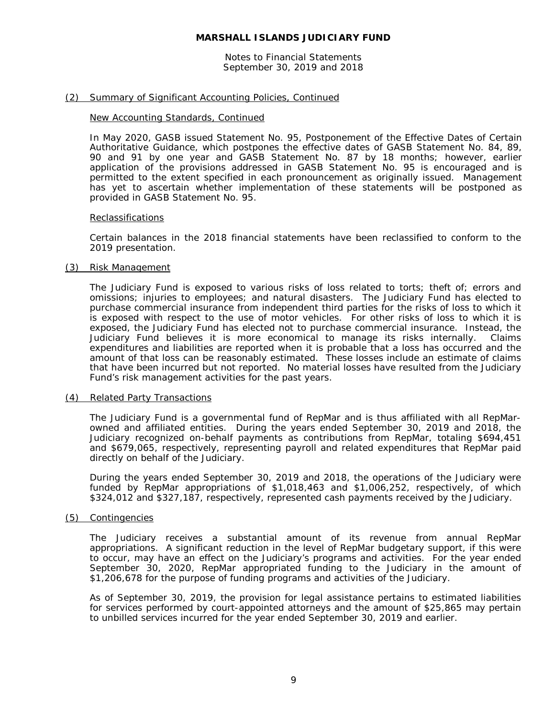Notes to Financial Statements September 30, 2019 and 2018

#### (2) Summary of Significant Accounting Policies, Continued

#### New Accounting Standards, Continued

In May 2020, GASB issued Statement No. 95, *Postponement of the Effective Dates of Certain Authoritative Guidance*, which postpones the effective dates of GASB Statement No. 84, 89, 90 and 91 by one year and GASB Statement No. 87 by 18 months; however, earlier application of the provisions addressed in GASB Statement No. 95 is encouraged and is permitted to the extent specified in each pronouncement as originally issued. Management has yet to ascertain whether implementation of these statements will be postponed as provided in GASB Statement No. 95.

#### Reclassifications

Certain balances in the 2018 financial statements have been reclassified to conform to the 2019 presentation.

#### (3) Risk Management

The Judiciary Fund is exposed to various risks of loss related to torts; theft of; errors and omissions; injuries to employees; and natural disasters. The Judiciary Fund has elected to purchase commercial insurance from independent third parties for the risks of loss to which it is exposed with respect to the use of motor vehicles. For other risks of loss to which it is exposed, the Judiciary Fund has elected not to purchase commercial insurance. Instead, the Judiciary Fund believes it is more economical to manage its risks internally. Claims expenditures and liabilities are reported when it is probable that a loss has occurred and the amount of that loss can be reasonably estimated. These losses include an estimate of claims that have been incurred but not reported. No material losses have resulted from the Judiciary Fund's risk management activities for the past years.

#### (4) Related Party Transactions

The Judiciary Fund is a governmental fund of RepMar and is thus affiliated with all RepMarowned and affiliated entities. During the years ended September 30, 2019 and 2018, the Judiciary recognized on-behalf payments as contributions from RepMar, totaling \$694,451 and \$679,065, respectively, representing payroll and related expenditures that RepMar paid directly on behalf of the Judiciary.

During the years ended September 30, 2019 and 2018, the operations of the Judiciary were funded by RepMar appropriations of \$1,018,463 and \$1,006,252, respectively, of which \$324,012 and \$327,187, respectively, represented cash payments received by the Judiciary.

#### (5) Contingencies

The Judiciary receives a substantial amount of its revenue from annual RepMar appropriations. A significant reduction in the level of RepMar budgetary support, if this were to occur, may have an effect on the Judiciary's programs and activities. For the year ended September 30, 2020, RepMar appropriated funding to the Judiciary in the amount of \$1,206,678 for the purpose of funding programs and activities of the Judiciary.

As of September 30, 2019, the provision for legal assistance pertains to estimated liabilities for services performed by court-appointed attorneys and the amount of \$25,865 may pertain to unbilled services incurred for the year ended September 30, 2019 and earlier.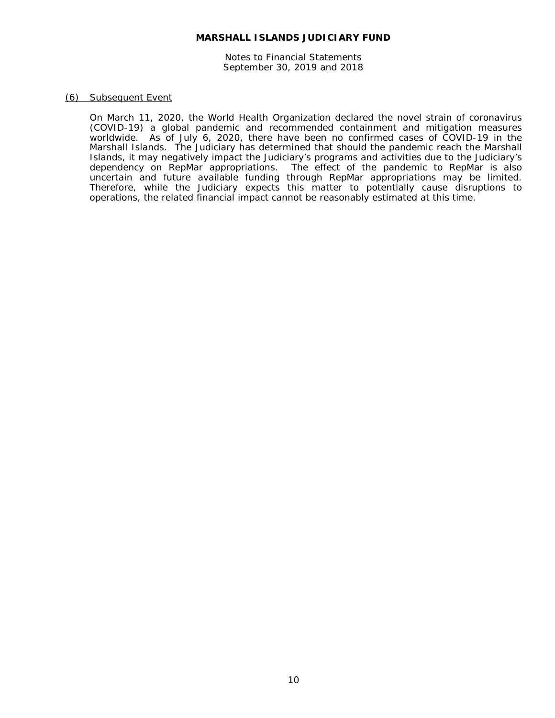Notes to Financial Statements September 30, 2019 and 2018

#### (6) Subsequent Event

On March 11, 2020, the World Health Organization declared the novel strain of coronavirus (COVID-19) a global pandemic and recommended containment and mitigation measures worldwide. As of July 6, 2020, there have been no confirmed cases of COVID-19 in the Marshall Islands. The Judiciary has determined that should the pandemic reach the Marshall Islands, it may negatively impact the Judiciary's programs and activities due to the Judiciary's dependency on RepMar appropriations. The effect of the pandemic to RepMar is also uncertain and future available funding through RepMar appropriations may be limited. Therefore, while the Judiciary expects this matter to potentially cause disruptions to operations, the related financial impact cannot be reasonably estimated at this time.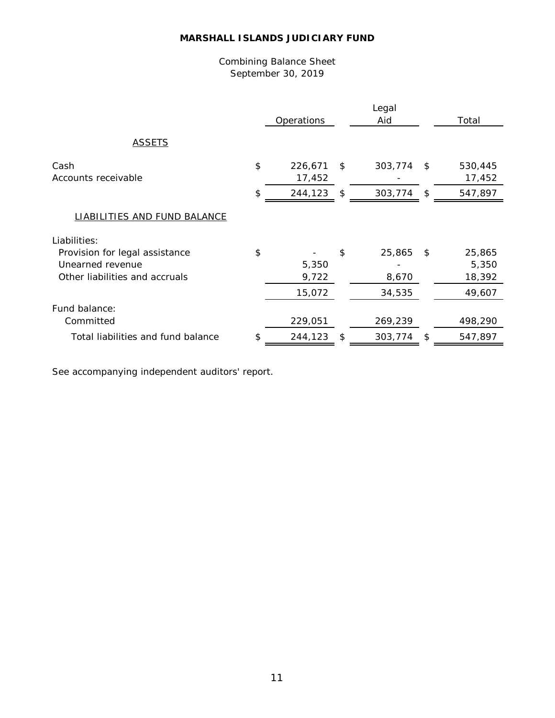# Combining Balance Sheet September 30, 2019

|                                                                                      | Operations              | Legal<br>Aid          |               | Total                     |
|--------------------------------------------------------------------------------------|-------------------------|-----------------------|---------------|---------------------------|
| <b>ASSETS</b>                                                                        |                         |                       |               |                           |
| Cash<br>Accounts receivable                                                          | \$<br>226,671<br>17,452 | \$<br>303,774         | \$            | 530,445<br>17,452         |
|                                                                                      | \$<br>244,123           | \$<br>303,774         | $\frac{1}{2}$ | 547,897                   |
| <b>LIABILITIES AND FUND BALANCE</b>                                                  |                         |                       |               |                           |
| Liabilities:                                                                         |                         |                       |               |                           |
| Provision for legal assistance<br>Unearned revenue<br>Other liabilities and accruals | \$<br>5,350<br>9,722    | \$<br>25,865<br>8,670 | -\$           | 25,865<br>5,350<br>18,392 |
|                                                                                      | 15,072                  | 34,535                |               | 49,607                    |
| Fund balance:                                                                        |                         |                       |               |                           |
| Committed                                                                            | 229,051                 | 269,239               |               | 498,290                   |
| Total liabilities and fund balance                                                   | \$<br>244,123           | \$<br>303,774         | \$            | 547,897                   |

See accompanying independent auditors' report.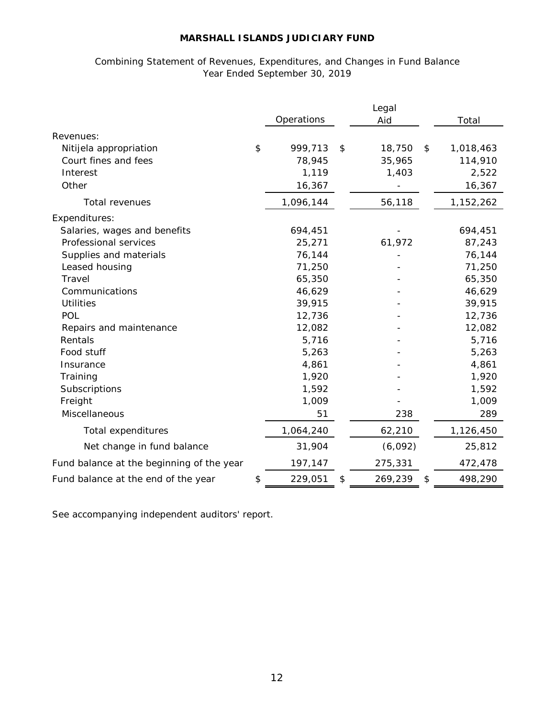# Combining Statement of Revenues, Expenditures, and Changes in Fund Balance Year Ended September 30, 2019

|                                           |               | Legal         |                           |           |
|-------------------------------------------|---------------|---------------|---------------------------|-----------|
|                                           | Operations    | Aid           |                           | Total     |
| Revenues:                                 |               |               |                           |           |
| Nitijela appropriation                    | \$<br>999,713 | \$<br>18,750  | $\boldsymbol{\mathsf{S}}$ | 1,018,463 |
| Court fines and fees                      | 78,945        | 35,965        |                           | 114,910   |
| Interest                                  | 1,119         | 1,403         |                           | 2,522     |
| Other                                     | 16,367        |               |                           | 16,367    |
| Total revenues                            | 1,096,144     | 56,118        |                           | 1,152,262 |
| Expenditures:                             |               |               |                           |           |
| Salaries, wages and benefits              | 694,451       |               |                           | 694,451   |
| Professional services                     | 25,271        | 61,972        |                           | 87,243    |
| Supplies and materials                    | 76,144        |               |                           | 76,144    |
| Leased housing                            | 71,250        |               |                           | 71,250    |
| Travel                                    | 65,350        |               |                           | 65,350    |
| Communications                            | 46,629        |               |                           | 46,629    |
| <b>Utilities</b>                          | 39,915        |               |                           | 39,915    |
| <b>POL</b>                                | 12,736        |               |                           | 12,736    |
| Repairs and maintenance                   | 12,082        |               |                           | 12,082    |
| Rentals                                   | 5,716         |               |                           | 5,716     |
| Food stuff                                | 5,263         |               |                           | 5,263     |
| Insurance                                 | 4,861         |               |                           | 4,861     |
| Training                                  | 1,920         |               |                           | 1,920     |
| Subscriptions                             | 1,592         |               |                           | 1,592     |
| Freight                                   | 1,009         |               |                           | 1,009     |
| Miscellaneous                             | 51            | 238           |                           | 289       |
| Total expenditures                        | 1,064,240     | 62,210        |                           | 1,126,450 |
| Net change in fund balance                | 31,904        | (6,092)       |                           | 25,812    |
| Fund balance at the beginning of the year | 197,147       | 275,331       |                           | 472,478   |
| Fund balance at the end of the year       | \$<br>229,051 | \$<br>269,239 | \$                        | 498,290   |

See accompanying independent auditors' report.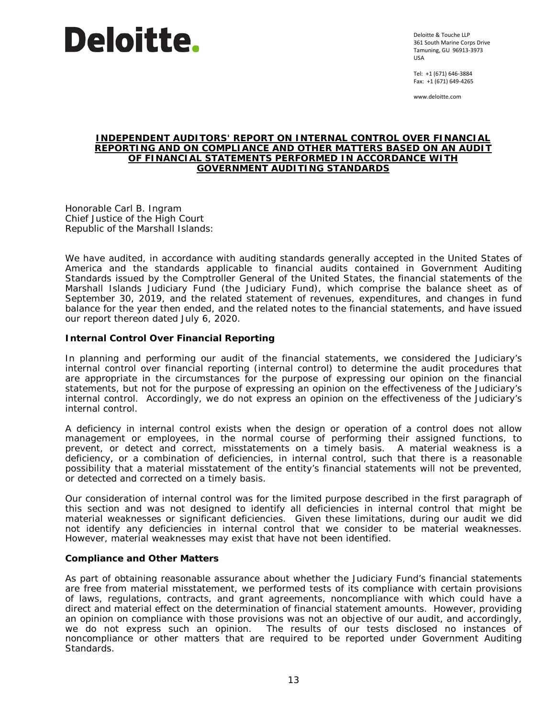

Deloitte & Touche LLP 361 South Marine Corps Drive Tamuning, GU 96913-3973 USA

Tel: +1 (671) 646-3884 Fax: +1 (671) 649-4265

www.deloitte.com

#### **INDEPENDENT AUDITORS' REPORT ON INTERNAL CONTROL OVER FINANCIAL REPORTING AND ON COMPLIANCE AND OTHER MATTERS BASED ON AN AUDIT OF FINANCIAL STATEMENTS PERFORMED IN ACCORDANCE WITH** *GOVERNMENT AUDITING STANDARDS*

Honorable Carl B. Ingram Chief Justice of the High Court Republic of the Marshall Islands:

We have audited, in accordance with auditing standards generally accepted in the United States of America and the standards applicable to financial audits contained in *Government Auditing Standards* issued by the Comptroller General of the United States, the financial statements of the Marshall Islands Judiciary Fund (the Judiciary Fund), which comprise the balance sheet as of September 30, 2019, and the related statement of revenues, expenditures, and changes in fund balance for the year then ended, and the related notes to the financial statements, and have issued our report thereon dated July 6, 2020.

#### **Internal Control Over Financial Reporting**

In planning and performing our audit of the financial statements, we considered the Judiciary's internal control over financial reporting (internal control) to determine the audit procedures that are appropriate in the circumstances for the purpose of expressing our opinion on the financial statements, but not for the purpose of expressing an opinion on the effectiveness of the Judiciary's internal control. Accordingly, we do not express an opinion on the effectiveness of the Judiciary's internal control.

A *deficiency in internal control* exists when the design or operation of a control does not allow management or employees, in the normal course of performing their assigned functions, to prevent, or detect and correct, misstatements on a timely basis. A *material weakness* is a deficiency, or a combination of deficiencies, in internal control, such that there is a reasonable possibility that a material misstatement of the entity's financial statements will not be prevented, or detected and corrected on a timely basis.

Our consideration of internal control was for the limited purpose described in the first paragraph of this section and was not designed to identify all deficiencies in internal control that might be material weaknesses or significant deficiencies. Given these limitations, during our audit we did not identify any deficiencies in internal control that we consider to be material weaknesses. However, material weaknesses may exist that have not been identified.

#### **Compliance and Other Matters**

As part of obtaining reasonable assurance about whether the Judiciary Fund's financial statements are free from material misstatement, we performed tests of its compliance with certain provisions of laws, regulations, contracts, and grant agreements, noncompliance with which could have a direct and material effect on the determination of financial statement amounts. However, providing an opinion on compliance with those provisions was not an objective of our audit, and accordingly, we do not express such an opinion. The results of our tests disclosed no instances of noncompliance or other matters that are required to be reported under *Government Auditing Standards*.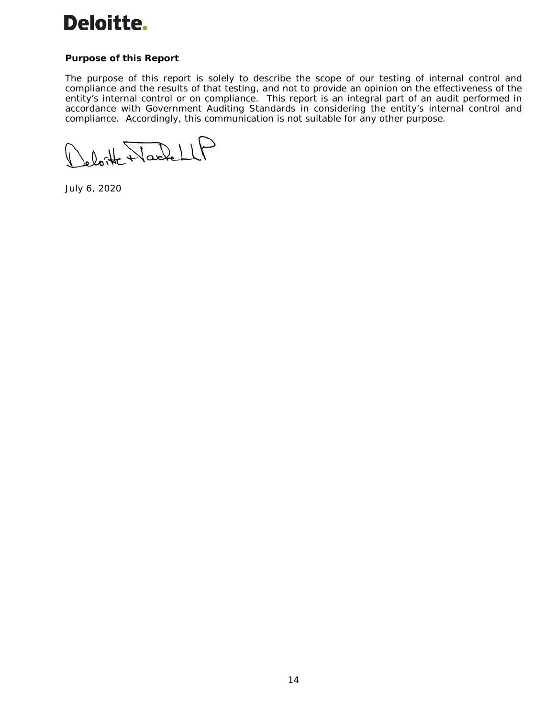

#### **Purpose of this Report**

The purpose of this report is solely to describe the scope of our testing of internal control and compliance and the results of that testing, and not to provide an opinion on the effectiveness of the entity's internal control or on compliance. This report is an integral part of an audit performed in accordance with *Government Auditing Standards* in considering the entity's internal control and compliance. Accordingly, this communication is not suitable for any other purpose.

eloitte Washell

July 6, 2020